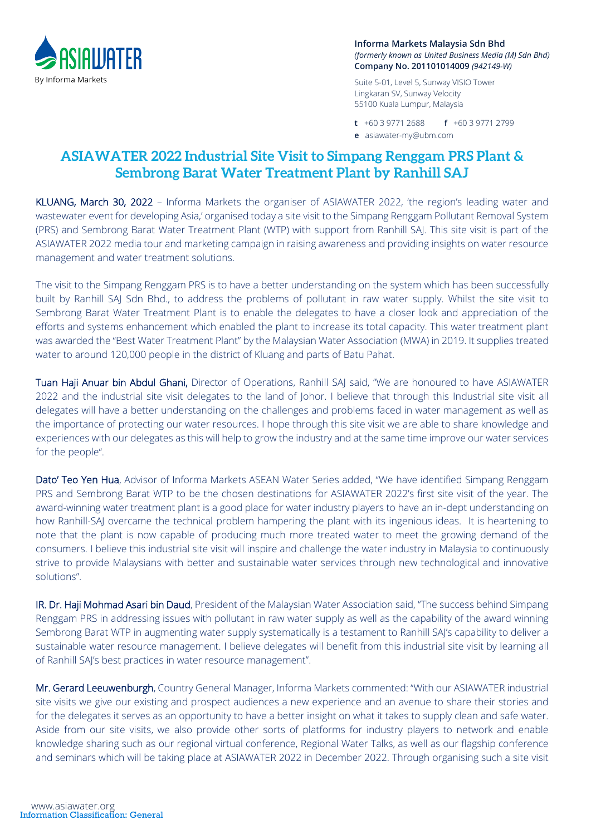

**Informa Markets Malaysia Sdn Bhd** *(formerly known as United Business Media (M) Sdn Bhd)* **Company No. 201101014009** *(942149-W)*

Suite 5-01, Level 5, Sunway VISIO Tower Lingkaran SV, Sunway Velocity 55100 Kuala Lumpur, Malaysia

**t** +60 3 9771 2688 **f** +60 3 9771 2799 **e** asiawater-my@ubm.com

## **ASIAWATER 2022 Industrial Site Visit to Simpang Renggam PRS Plant & Sembrong Barat Water Treatment Plant by Ranhill SAJ**

KLUANG, March 30, 2022 - Informa Markets the organiser of ASIAWATER 2022, 'the region's leading water and wastewater event for developing Asia,' organised today a site visit to the Simpang Renggam Pollutant Removal System (PRS) and Sembrong Barat Water Treatment Plant (WTP) with support from Ranhill SAJ. This site visit is part of the ASIAWATER 2022 media tour and marketing campaign in raising awareness and providing insights on water resource management and water treatment solutions.

The visit to the Simpang Renggam PRS is to have a better understanding on the system which has been successfully built by Ranhill SAJ Sdn Bhd., to address the problems of pollutant in raw water supply. Whilst the site visit to Sembrong Barat Water Treatment Plant is to enable the delegates to have a closer look and appreciation of the efforts and systems enhancement which enabled the plant to increase its total capacity. This water treatment plant was awarded the "Best Water Treatment Plant" by the Malaysian Water Association (MWA) in 2019. It supplies treated water to around 120,000 people in the district of Kluang and parts of Batu Pahat.

Tuan Haji Anuar bin Abdul Ghani, Director of Operations, Ranhill SAJ said, "We are honoured to have ASIAWATER 2022 and the industrial site visit delegates to the land of Johor. I believe that through this Industrial site visit all delegates will have a better understanding on the challenges and problems faced in water management as well as the importance of protecting our water resources. I hope through this site visit we are able to share knowledge and experiences with our delegates as this will help to grow the industry and at the same time improve our water services for the people".

Dato' Teo Yen Hua, Advisor of Informa Markets ASEAN Water Series added, "We have identified Simpang Renggam PRS and Sembrong Barat WTP to be the chosen destinations for ASIAWATER 2022's first site visit of the year. The award-winning water treatment plant is a good place for water industry players to have an in-dept understanding on how Ranhill-SAJ overcame the technical problem hampering the plant with its ingenious ideas. It is heartening to note that the plant is now capable of producing much more treated water to meet the growing demand of the consumers. I believe this industrial site visit will inspire and challenge the water industry in Malaysia to continuously strive to provide Malaysians with better and sustainable water services through new technological and innovative solutions".

IR. Dr. Haji Mohmad Asari bin Daud, President of the Malaysian Water Association said, "The success behind Simpang Renggam PRS in addressing issues with pollutant in raw water supply as well as the capability of the award winning Sembrong Barat WTP in augmenting water supply systematically is a testament to Ranhill SAJ's capability to deliver a sustainable water resource management. I believe delegates will benefit from this industrial site visit by learning all of Ranhill SAJ's best practices in water resource management".

Mr. Gerard Leeuwenburgh, Country General Manager, Informa Markets commented: "With our ASIAWATER industrial site visits we give our existing and prospect audiences a new experience and an avenue to share their stories and for the delegates it serves as an opportunity to have a better insight on what it takes to supply clean and safe water. Aside from our site visits, we also provide other sorts of platforms for industry players to network and enable knowledge sharing such as our regional virtual conference, Regional Water Talks, as well as our flagship conference and seminars which will be taking place at ASIAWATER 2022 in December 2022. Through organising such a site visit